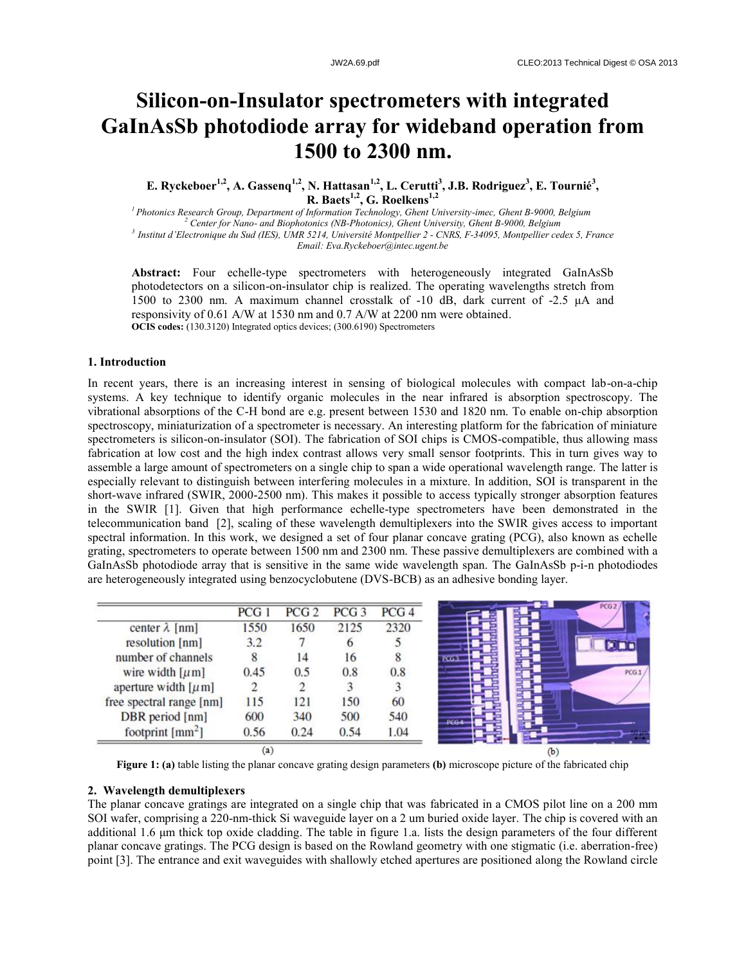# **Silicon-on-Insulator spectrometers with integrated GaInAsSb photodiode array for wideband operation from 1500 to 2300 nm.**

**E. Ryckeboer1,2, A. Gassenq1,2, N. Hattasan1,2, L. Cerutti<sup>3</sup> , J.B. Rodriguez<sup>3</sup> , E. Tournié<sup>3</sup> , R. Baets1,2 , G. Roelkens1,2**

*Photonics Research Group, Department of Information Technology, Ghent University-imec, Ghent B-9000, Belgium Center for Nano- and Biophotonics (NB-Photonics), Ghent University, Ghent B-9000, Belgium Institut d'Electronique du Sud (IES), UMR 5214, Université Montpellier 2 - CNRS, F-34095, Montpellier cedex 5, France Email: Eva.Ryckeboer@intec.ugent.be*

**Abstract:** Four echelle-type spectrometers with heterogeneously integrated GaInAsSb photodetectors on a silicon-on-insulator chip is realized. The operating wavelengths stretch from 1500 to 2300 nm. A maximum channel crosstalk of -10 dB, dark current of -2.5 μA and responsivity of 0.61 A/W at 1530 nm and 0.7 A/W at 2200 nm were obtained. **OCIS codes:** (130.3120) Integrated optics devices; (300.6190) Spectrometers

### **1. Introduction**

In recent years, there is an increasing interest in sensing of biological molecules with compact lab-on-a-chip systems. A key technique to identify organic molecules in the near infrared is absorption spectroscopy. The vibrational absorptions of the C-H bond are e.g. present between 1530 and 1820 nm. To enable on-chip absorption spectroscopy, miniaturization of a spectrometer is necessary. An interesting platform for the fabrication of miniature spectrometers is silicon-on-insulator (SOI). The fabrication of SOI chips is CMOS-compatible, thus allowing mass fabrication at low cost and the high index contrast allows very small sensor footprints. This in turn gives way to assemble a large amount of spectrometers on a single chip to span a wide operational wavelength range. The latter is especially relevant to distinguish between interfering molecules in a mixture. In addition, SOI is transparent in the short-wave infrared (SWIR, 2000-2500 nm). This makes it possible to access typically stronger absorption features in the SWIR [1]. Given that high performance echelle-type spectrometers have been demonstrated in the telecommunication band [2], scaling of these wavelength demultiplexers into the SWIR gives access to important spectral information. In this work, we designed a set of four planar concave grating (PCG), also known as echelle grating, spectrometers to operate between 1500 nm and 2300 nm. These passive demultiplexers are combined with a GaInAsSb photodiode array that is sensitive in the same wide wavelength span. The GaInAsSb p-i-n photodiodes are heterogeneously integrated using benzocyclobutene (DVS-BCB) as an adhesive bonding layer.

|                            | PCG 1    | PCG <sub>2</sub> | PCG <sub>3</sub> | PCG <sub>4</sub> |
|----------------------------|----------|------------------|------------------|------------------|
| center $\lambda$ [nm]      | 1550     | 1650             | 2125             | 2320             |
| resolution [nm]            | 3.2      |                  |                  |                  |
| number of channels         |          | 14               | 16               |                  |
| wire width $[\mu m]$       | 0.45     | 0.5              | 0.8              | 0.8              |
| aperture width $[\mu m]$   |          |                  |                  |                  |
| free spectral range [nm]   | 115      | 121              | 150              | 60               |
| DBR period [nm]            | 600      | 340              | 500              | 540              |
| footprint $\text{[mm}^2$ ] | 0.56     | 0.24             | 0.54             | 1.04             |
|                            | $\bf(a)$ |                  |                  |                  |

**Figure 1: (a)** table listing the planar concave grating design parameters **(b)** microscope picture of the fabricated chip

## **2. Wavelength demultiplexers**

The planar concave gratings are integrated on a single chip that was fabricated in a CMOS pilot line on a 200 mm SOI wafer, comprising a 220-nm-thick Si waveguide layer on a 2 um buried oxide layer. The chip is covered with an additional 1.6 μm thick top oxide cladding. The table in figure 1.a. lists the design parameters of the four different planar concave gratings. The PCG design is based on the Rowland geometry with one stigmatic (i.e. aberration-free) point [3]. The entrance and exit waveguides with shallowly etched apertures are positioned along the Rowland circle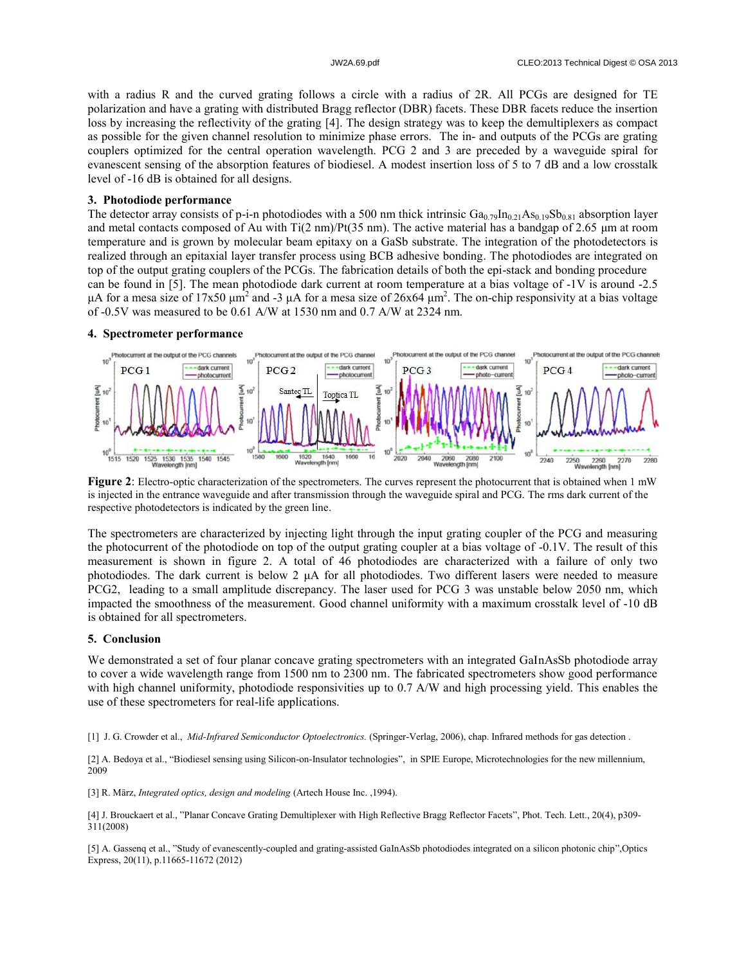with a radius R and the curved grating follows a circle with a radius of 2R. All PCGs are designed for TE polarization and have a grating with distributed Bragg reflector (DBR) facets. These DBR facets reduce the insertion loss by increasing the reflectivity of the grating [4]. The design strategy was to keep the demultiplexers as compact as possible for the given channel resolution to minimize phase errors. The in- and outputs of the PCGs are grating couplers optimized for the central operation wavelength. PCG 2 and 3 are preceded by a waveguide spiral for evanescent sensing of the absorption features of biodiesel. A modest insertion loss of 5 to 7 dB and a low crosstalk level of -16 dB is obtained for all designs.

# **3. Photodiode performance**

The detector array consists of p-i-n photodiodes with a 500 nm thick intrinsic  $Ga_{0.79}In_{0.21}As_{0.19}Sb_{0.81}$  absorption layer and metal contacts composed of Au with  $Ti(2 \text{ nm})/Pt(35 \text{ nm})$ . The active material has a bandgap of 2.65  $\mu$ m at room temperature and is grown by molecular beam epitaxy on a GaSb substrate. The integration of the photodetectors is realized through an epitaxial layer transfer process using BCB adhesive bonding. The photodiodes are integrated on top of the output grating couplers of the PCGs. The fabrication details of both the epi-stack and bonding procedure can be found in [5]. The mean photodiode dark current at room temperature at a bias voltage of -1V is around -2.5 μA for a mesa size of 17x50 μm<sup>2</sup> and -3 μA for a mesa size of 26x64 μm<sup>2</sup>. The on-chip responsivity at a bias voltage of -0.5V was measured to be 0.61 A/W at 1530 nm and 0.7 A/W at 2324 nm.

#### **4. Spectrometer performance**



**Figure 2**: Electro-optic characterization of the spectrometers. The curves represent the photocurrent that is obtained when 1 mW is injected in the entrance waveguide and after transmission through the waveguide spiral and PCG. The rms dark current of the respective photodetectors is indicated by the green line.

The spectrometers are characterized by injecting light through the input grating coupler of the PCG and measuring the photocurrent of the photodiode on top of the output grating coupler at a bias voltage of -0.1V. The result of this measurement is shown in figure 2. A total of 46 photodiodes are characterized with a failure of only two photodiodes. The dark current is below 2 μA for all photodiodes. Two different lasers were needed to measure PCG2, leading to a small amplitude discrepancy. The laser used for PCG 3 was unstable below 2050 nm, which impacted the smoothness of the measurement. Good channel uniformity with a maximum crosstalk level of -10 dB is obtained for all spectrometers.

### **5. Conclusion**

We demonstrated a set of four planar concave grating spectrometers with an integrated GaInAsSb photodiode array to cover a wide wavelength range from 1500 nm to 2300 nm. The fabricated spectrometers show good performance with high channel uniformity, photodiode responsivities up to 0.7 A/W and high processing yield. This enables the use of these spectrometers for real-life applications.

[1] J. G. Crowder et al., *Mid-Infrared Semiconductor Optoelectronics.* (Springer-Verlag, 2006), chap. Infrared methods for gas detection .

[2] A. Bedoya et al., "Biodiesel sensing using Silicon-on-Insulator technologies", in SPIE Europe, Microtechnologies for the new millennium, 2009

[3] R. März, *Integrated optics, design and modeling* (Artech House Inc. ,1994).

[4] J. Brouckaert et al., "Planar Concave Grating Demultiplexer with High Reflective Bragg Reflector Facets", Phot. Tech. Lett., 20(4), p309- 311(2008)

[5] A. Gassenq et al., "Study of evanescently-coupled and grating-assisted GaInAsSb photodiodes integrated on a silicon photonic chip",Optics Express, 20(11), p.11665-11672 (2012)